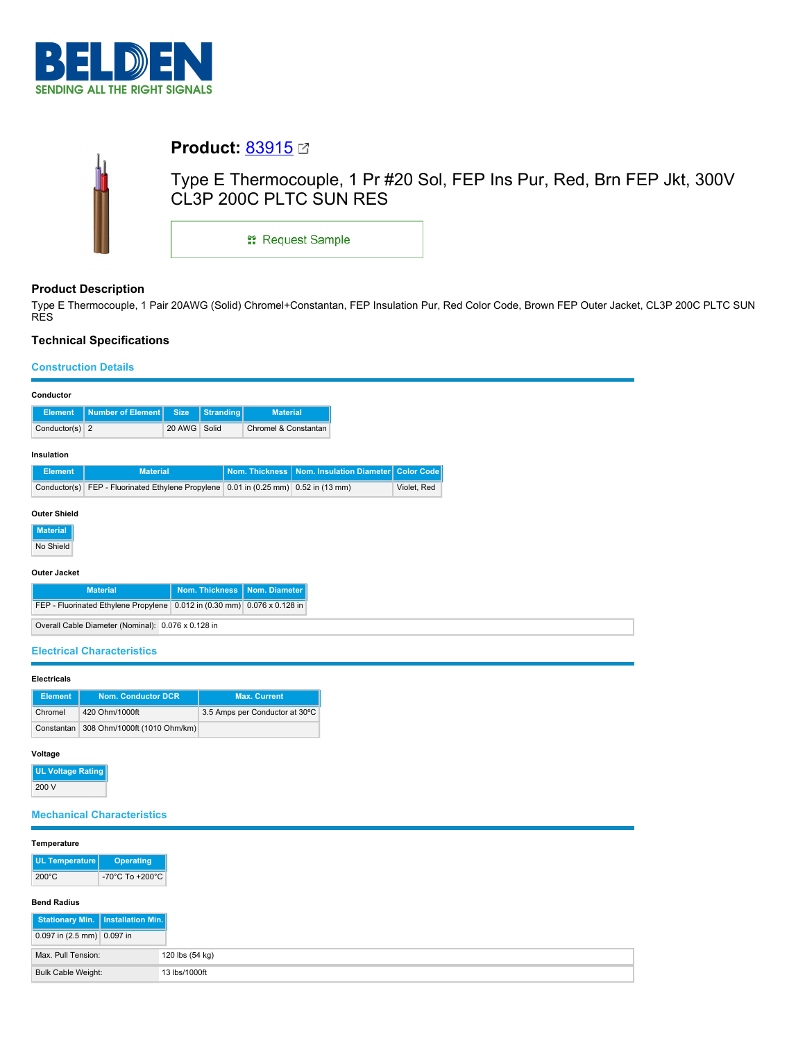

| <b>Product:</b> $83915$ $\textdegree$                                                            |  |  |  |  |  |
|--------------------------------------------------------------------------------------------------|--|--|--|--|--|
| Type E Thermocouple, 1 Pr #20 Sol, FEP Ins Pur, Red, Brn FEP Jkt, 300V<br>CL3P 200C PLTC SUN RES |  |  |  |  |  |
| <sub>11</sub> Request Sample                                                                     |  |  |  |  |  |
|                                                                                                  |  |  |  |  |  |

# **Product Description**

Type E Thermocouple, 1 Pair 20AWG (Solid) Chromel+Constantan, FEP Insulation Pur, Red Color Code, Brown FEP Outer Jacket, CL3P 200C PLTC SUN RES

## **Technical Specifications**

## **Construction Details**

|                                                    | <b>Size</b>                                                                                        |                                                                              | <b>Material</b>                                                                                 |                                                                                                                                                                             |                                                                                                                            |
|----------------------------------------------------|----------------------------------------------------------------------------------------------------|------------------------------------------------------------------------------|-------------------------------------------------------------------------------------------------|-----------------------------------------------------------------------------------------------------------------------------------------------------------------------------|----------------------------------------------------------------------------------------------------------------------------|
| Conductor(s) $2$                                   | 20 AWG                                                                                             | Solid                                                                        |                                                                                                 |                                                                                                                                                                             |                                                                                                                            |
|                                                    |                                                                                                    |                                                                              |                                                                                                 |                                                                                                                                                                             |                                                                                                                            |
|                                                    |                                                                                                    |                                                                              |                                                                                                 |                                                                                                                                                                             |                                                                                                                            |
|                                                    |                                                                                                    |                                                                              |                                                                                                 |                                                                                                                                                                             |                                                                                                                            |
| Conductor(s)                                       |                                                                                                    |                                                                              |                                                                                                 |                                                                                                                                                                             |                                                                                                                            |
|                                                    |                                                                                                    |                                                                              |                                                                                                 |                                                                                                                                                                             |                                                                                                                            |
|                                                    |                                                                                                    |                                                                              |                                                                                                 |                                                                                                                                                                             |                                                                                                                            |
|                                                    |                                                                                                    |                                                                              |                                                                                                 |                                                                                                                                                                             |                                                                                                                            |
|                                                    |                                                                                                    |                                                                              |                                                                                                 |                                                                                                                                                                             |                                                                                                                            |
|                                                    |                                                                                                    |                                                                              |                                                                                                 |                                                                                                                                                                             |                                                                                                                            |
|                                                    |                                                                                                    |                                                                              |                                                                                                 |                                                                                                                                                                             |                                                                                                                            |
|                                                    |                                                                                                    |                                                                              |                                                                                                 |                                                                                                                                                                             |                                                                                                                            |
|                                                    |                                                                                                    |                                                                              |                                                                                                 |                                                                                                                                                                             |                                                                                                                            |
|                                                    |                                                                                                    |                                                                              |                                                                                                 |                                                                                                                                                                             |                                                                                                                            |
|                                                    |                                                                                                    |                                                                              |                                                                                                 |                                                                                                                                                                             |                                                                                                                            |
|                                                    |                                                                                                    |                                                                              |                                                                                                 |                                                                                                                                                                             |                                                                                                                            |
|                                                    |                                                                                                    |                                                                              |                                                                                                 |                                                                                                                                                                             |                                                                                                                            |
|                                                    |                                                                                                    |                                                                              |                                                                                                 |                                                                                                                                                                             |                                                                                                                            |
|                                                    |                                                                                                    |                                                                              |                                                                                                 |                                                                                                                                                                             |                                                                                                                            |
|                                                    |                                                                                                    |                                                                              |                                                                                                 |                                                                                                                                                                             |                                                                                                                            |
|                                                    |                                                                                                    |                                                                              |                                                                                                 |                                                                                                                                                                             |                                                                                                                            |
|                                                    |                                                                                                    |                                                                              |                                                                                                 |                                                                                                                                                                             |                                                                                                                            |
|                                                    |                                                                                                    |                                                                              |                                                                                                 |                                                                                                                                                                             |                                                                                                                            |
|                                                    |                                                                                                    |                                                                              |                                                                                                 |                                                                                                                                                                             |                                                                                                                            |
| <b>UL Voltage Rating</b>                           |                                                                                                    |                                                                              |                                                                                                 |                                                                                                                                                                             |                                                                                                                            |
|                                                    |                                                                                                    |                                                                              |                                                                                                 |                                                                                                                                                                             |                                                                                                                            |
|                                                    |                                                                                                    |                                                                              |                                                                                                 |                                                                                                                                                                             |                                                                                                                            |
| <b>Mechanical Characteristics</b>                  |                                                                                                    |                                                                              |                                                                                                 |                                                                                                                                                                             |                                                                                                                            |
|                                                    |                                                                                                    |                                                                              |                                                                                                 |                                                                                                                                                                             |                                                                                                                            |
| Temperature                                        |                                                                                                    |                                                                              |                                                                                                 |                                                                                                                                                                             |                                                                                                                            |
| <b>UL Temperature</b><br><b>Operating</b>          |                                                                                                    |                                                                              |                                                                                                 |                                                                                                                                                                             |                                                                                                                            |
| -70°C To +200°C                                    |                                                                                                    |                                                                              |                                                                                                 |                                                                                                                                                                             |                                                                                                                            |
|                                                    |                                                                                                    |                                                                              |                                                                                                 |                                                                                                                                                                             |                                                                                                                            |
| <b>Bend Radius</b>                                 |                                                                                                    |                                                                              |                                                                                                 |                                                                                                                                                                             |                                                                                                                            |
| <b>Stationary Min.</b><br><b>Installation Min.</b> |                                                                                                    |                                                                              |                                                                                                 |                                                                                                                                                                             |                                                                                                                            |
| 0.097 in (2.5 mm) 0.097 in                         |                                                                                                    |                                                                              |                                                                                                 |                                                                                                                                                                             |                                                                                                                            |
| Max. Pull Tension:                                 | 120 lbs (54 kg)                                                                                    |                                                                              |                                                                                                 |                                                                                                                                                                             |                                                                                                                            |
| <b>Bulk Cable Weight:</b>                          | 13 lbs/1000ft                                                                                      |                                                                              |                                                                                                 |                                                                                                                                                                             |                                                                                                                            |
| <b>Outer Shield</b><br>Outer Jacket<br>Constantan  | <b>Number of Element</b><br><b>Material</b><br><b>Electrical Characteristics</b><br>420 Ohm/1000ft | <b>Material</b><br><b>Nom. Conductor DCR</b><br>308 Ohm/1000ft (1010 Ohm/km) | <b>Stranding</b><br><b>Nom. Thickness</b><br>Overall Cable Diameter (Nominal): 0.076 x 0.128 in | <b>Nom. Thickness</b><br>Nom. Diameter<br>FEP - Fluorinated Ethylene Propylene 0.012 in (0.30 mm) 0.076 x 0.128 in<br><b>Max. Current</b><br>3.5 Amps per Conductor at 30°C | Chromel & Constantan<br>Nom. Insulation Diameter<br>FEP - Fluorinated Ethylene Propylene 0.01 in (0.25 mm) 0.52 in (13 mm) |